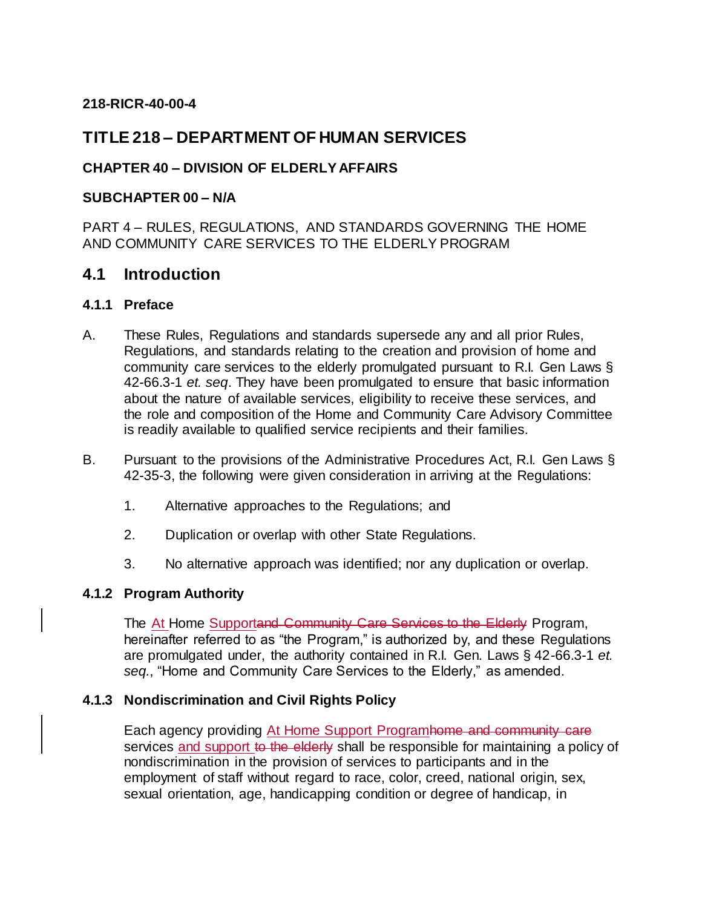#### **218-RICR-40-00-4**

# **TITLE 218 – DEPARTMENT OF HUMAN SERVICES**

# **CHAPTER 40 – DIVISION OF ELDERLY AFFAIRS**

#### **SUBCHAPTER 00 – N/A**

PART 4 – RULES, REGULATIONS, AND STANDARDS GOVERNING THE HOME AND COMMUNITY CARE SERVICES TO THE ELDERLY PROGRAM

# **4.1 Introduction**

#### **4.1.1 Preface**

- A. These Rules, Regulations and standards supersede any and all prior Rules, Regulations, and standards relating to the creation and provision of home and community care services to the elderly promulgated pursuant to R.I. Gen Laws § 42-66.3-1 *et. seq*. They have been promulgated to ensure that basic information about the nature of available services, eligibility to receive these services, and the role and composition of the Home and Community Care Advisory Committee is readily available to qualified service recipients and their families.
- B. Pursuant to the provisions of the Administrative Procedures Act, R.I. Gen Laws § 42-35-3, the following were given consideration in arriving at the Regulations:
	- 1. Alternative approaches to the Regulations; and
	- 2. Duplication or overlap with other State Regulations.
	- 3. No alternative approach was identified; nor any duplication or overlap.

#### **4.1.2 Program Authority**

The At Home Supportand Community Care Services to the Elderly Program, hereinafter referred to as "the Program," is authorized by, and these Regulations are promulgated under, the authority contained in R.I. Gen. Laws § 42-66.3-1 *et. seq.*, "Home and Community Care Services to the Elderly," as amended.

#### **4.1.3 Nondiscrimination and Civil Rights Policy**

Each agency providing At Home Support Programhome and community care services and support to the elderly shall be responsible for maintaining a policy of nondiscrimination in the provision of services to participants and in the employment of staff without regard to race, color, creed, national origin, sex, sexual orientation, age, handicapping condition or degree of handicap, in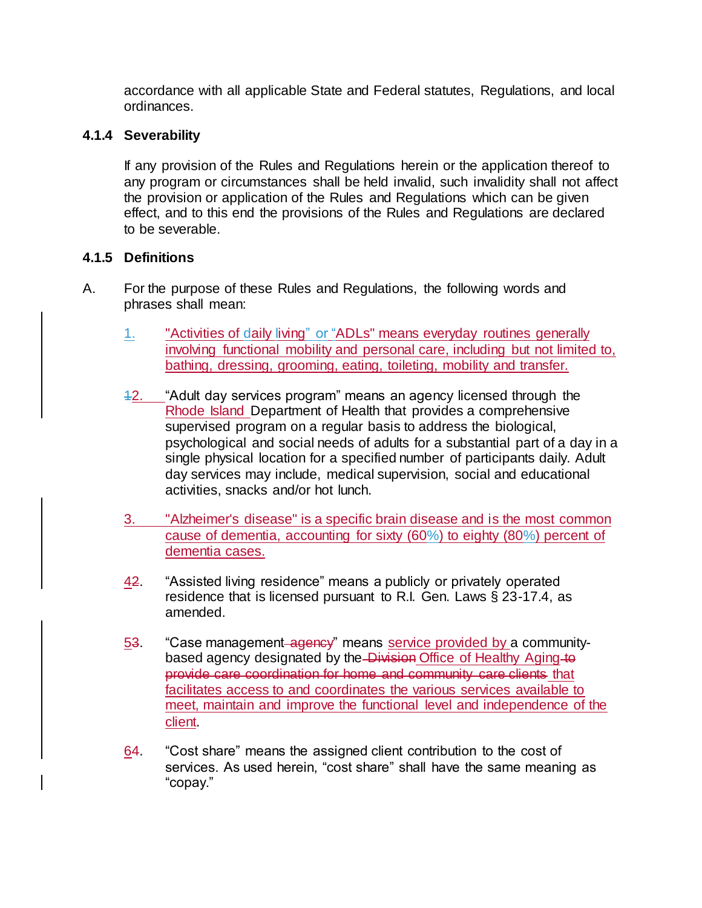accordance with all applicable State and Federal statutes, Regulations, and local ordinances.

### **4.1.4 Severability**

If any provision of the Rules and Regulations herein or the application thereof to any program or circumstances shall be held invalid, such invalidity shall not affect the provision or application of the Rules and Regulations which can be given effect, and to this end the provisions of the Rules and Regulations are declared to be severable.

### **4.1.5 Definitions**

- A. For the purpose of these Rules and Regulations, the following words and phrases shall mean:
	- 1. "Activities of daily living" or "ADLs" means everyday routines generally involving functional mobility and personal care, including but not limited to, bathing, dressing, grooming, eating, toileting, mobility and transfer.
	- 12. "Adult day services program" means an agency licensed through the Rhode Island Department of Health that provides a comprehensive supervised program on a regular basis to address the biological, psychological and social needs of adults for a substantial part of a day in a single physical location for a specified number of participants daily. Adult day services may include, medical supervision, social and educational activities, snacks and/or hot lunch.
	- 3. "Alzheimer's disease" is a specific brain disease and is the most common cause of dementia, accounting for sixty (60%) to eighty (80%) percent of dementia cases.
	- 42. "Assisted living residence" means a publicly or privately operated residence that is licensed pursuant to R.I. Gen. Laws § 23-17.4, as amended.
	- 53. "Case management agency" means service provided by a communitybased agency designated by the Division Office of Healthy Aging to provide care coordination for home and community care clients that facilitates access to and coordinates the various services available to meet, maintain and improve the functional level and independence of the client.
	- 64. "Cost share" means the assigned client contribution to the cost of services. As used herein, "cost share" shall have the same meaning as "copay."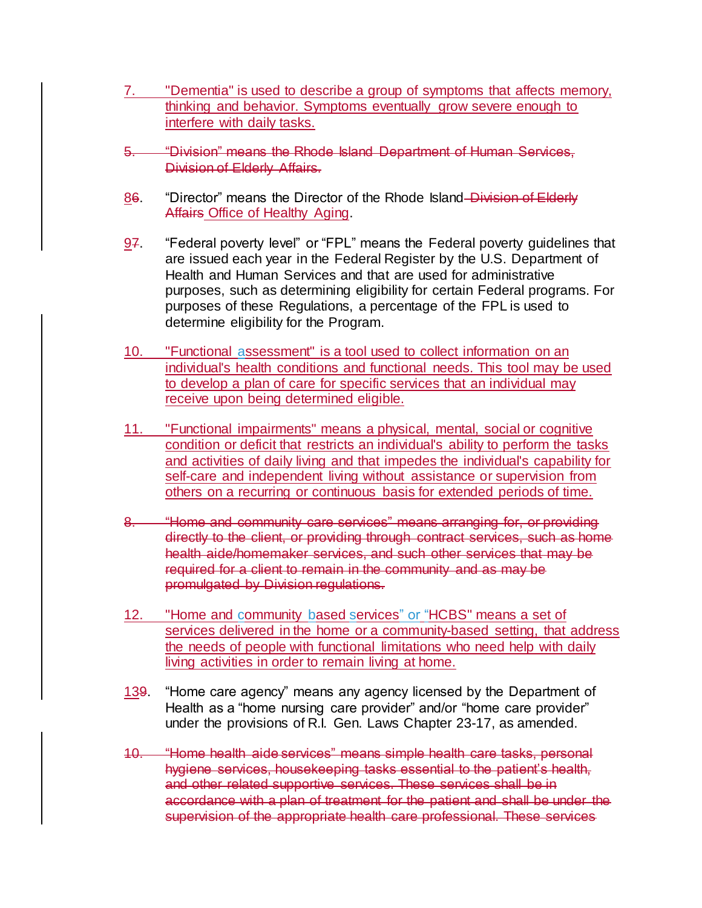- 7. "Dementia" is used to describe a group of symptoms that affects memory, thinking and behavior. Symptoms eventually grow severe enough to interfere with daily tasks.
- 5. "Division" means the Rhode Island Department of Human Services, Division of Elderly Affairs.
- 86. "Director" means the Director of the Rhode Island Division of Elderly Affairs Office of Healthy Aging.
- 97. "Federal poverty level" or "FPL" means the Federal poverty guidelines that are issued each year in the Federal Register by the U.S. Department of Health and Human Services and that are used for administrative purposes, such as determining eligibility for certain Federal programs. For purposes of these Regulations, a percentage of the FPL is used to determine eligibility for the Program.
- 10. "Functional assessment" is a tool used to collect information on an individual's health conditions and functional needs. This tool may be used to develop a plan of care for specific services that an individual may receive upon being determined eligible.
- 11. "Functional impairments" means a physical, mental, social or cognitive condition or deficit that restricts an individual's ability to perform the tasks and activities of daily living and that impedes the individual's capability for self-care and independent living without assistance or supervision from others on a recurring or continuous basis for extended periods of time.
- 8. "Home and community care services" means arranging for, or providing directly to the client, or providing through contract services, such as home health aide/homemaker services, and such other services that may be required for a client to remain in the community and as may be promulgated by Division regulations.
- 12. "Home and community based services" or "HCBS" means a set of services delivered in the home or a community-based setting, that address the needs of people with functional limitations who need help with daily living activities in order to remain living at home.
- 139. "Home care agency" means any agency licensed by the Department of Health as a "home nursing care provider" and/or "home care provider" under the provisions of R.I. Gen. Laws Chapter 23-17, as amended.
- 10. "Home health aide services" means simple health care tasks, personal hygiene services, housekeeping tasks essential to the patient's health, and other related supportive services. These services shall be in accordance with a plan of treatment for the patient and shall be under the supervision of the appropriate health care professional. These services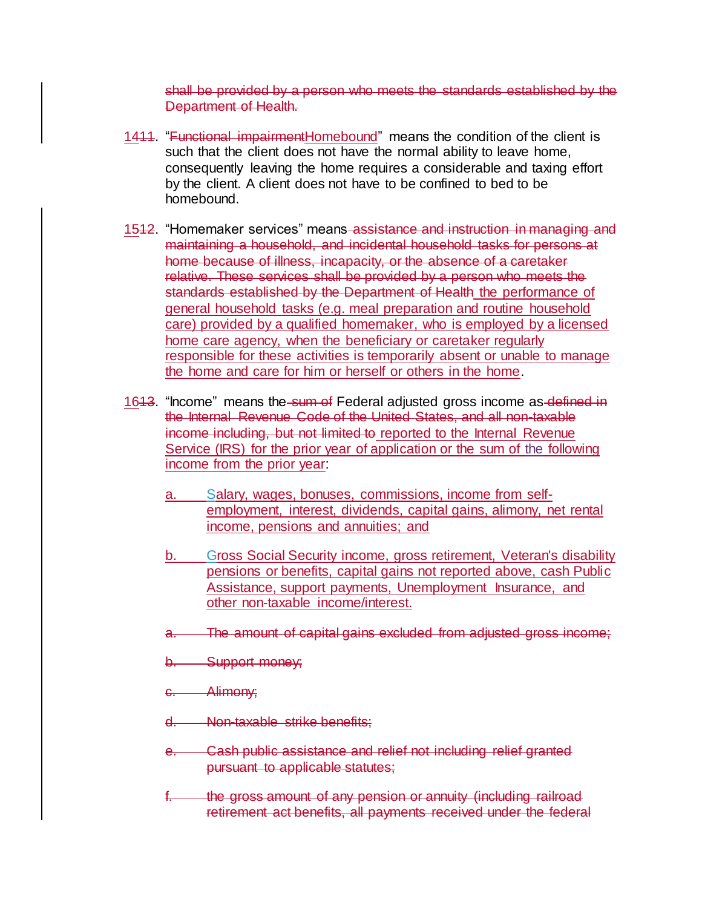shall be provided by a person who meets the standards established by the Department of Health.

- 1411. "Functional impairment Homebound" means the condition of the client is such that the client does not have the normal ability to leave home, consequently leaving the home requires a considerable and taxing effort by the client. A client does not have to be confined to bed to be homebound.
- 1512. "Homemaker services" means assistance and instruction in managing and maintaining a household, and incidental household tasks for persons at home because of illness, incapacity, or the absence of a caretaker relative. These services shall be provided by a person who meets the standards established by the Department of Health the performance of general household tasks (e.g. meal preparation and routine household care) provided by a qualified homemaker, who is employed by a licensed home care agency, when the beneficiary or caretaker regularly responsible for these activities is temporarily absent or unable to manage the home and care for him or herself or others in the home.
- 1643. "Income" means the sum of Federal adjusted gross income as defined in the Internal Revenue Code of the United States, and all non-taxable income including, but not limited to reported to the Internal Revenue Service (IRS) for the prior year of application or the sum of the following income from the prior year:
	- a. Salary, wages, bonuses, commissions, income from selfemployment, interest, dividends, capital gains, alimony, net rental income, pensions and annuities; and
	- b. Gross Social Security income, gross retirement, Veteran's disability pensions or benefits, capital gains not reported above, cash Public Assistance, support payments, Unemployment Insurance, and other non-taxable income/interest.
	- a. The amount of capital gains excluded from adjusted gross income;
	- b. Support money;
	- c. Alimony;
	- d. Non-taxable strike benefits;
	- e. Cash public assistance and relief not including relief granted pursuant to applicable statutes;
	- the gross amount of any pension or annuity (including railroad retirement act benefits, all payments received under the federal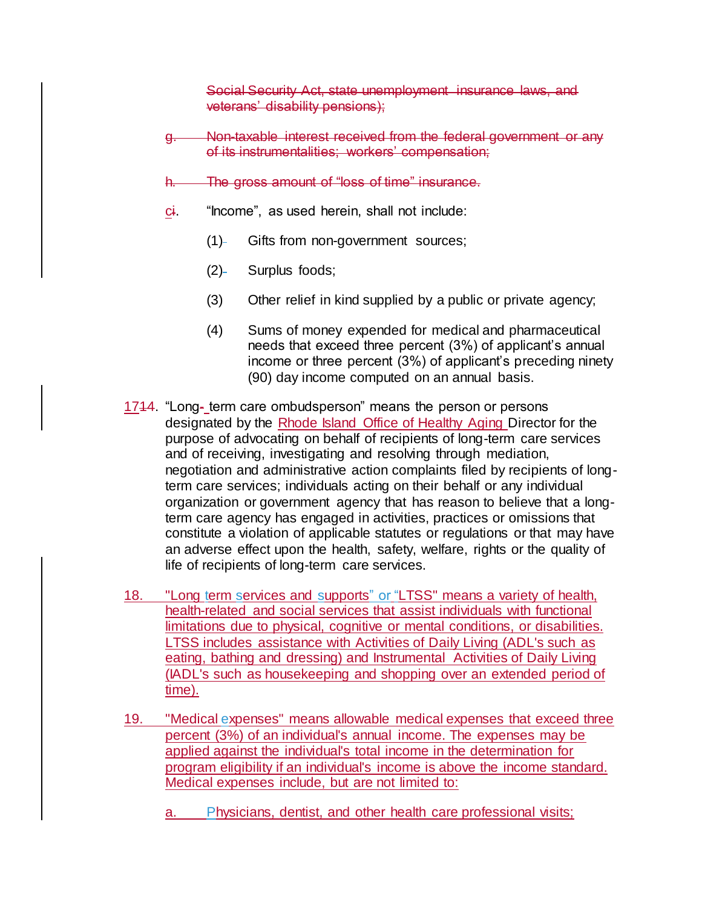Social Security Act, state unemployment insurance laws, and veterans' disability pensions);

- g. Non-taxable interest received from the federal government or any of its instrumentalities; workers' compensation;
- h. The gross amount of "loss of time" insurance.
- ci. "Income", as used herein, shall not include:
	- (1) Gifts from non-government sources;
	- $(2)$  Surplus foods;
	- (3) Other relief in kind supplied by a public or private agency;
	- (4) Sums of money expended for medical and pharmaceutical needs that exceed three percent (3%) of applicant's annual income or three percent (3%) of applicant's preceding ninety (90) day income computed on an annual basis.
- 1714. "Long- term care ombudsperson" means the person or persons designated by the Rhode Island Office of Healthy Aging Director for the purpose of advocating on behalf of recipients of long-term care services and of receiving, investigating and resolving through mediation, negotiation and administrative action complaints filed by recipients of longterm care services; individuals acting on their behalf or any individual organization or government agency that has reason to believe that a longterm care agency has engaged in activities, practices or omissions that constitute a violation of applicable statutes or regulations or that may have an adverse effect upon the health, safety, welfare, rights or the quality of life of recipients of long-term care services.
- 18. "Long term services and supports" or "LTSS" means a variety of health, health-related and social services that assist individuals with functional limitations due to physical, cognitive or mental conditions, or disabilities. LTSS includes assistance with Activities of Daily Living (ADL's such as eating, bathing and dressing) and Instrumental Activities of Daily Living (IADL's such as housekeeping and shopping over an extended period of time).
- 19. "Medical expenses" means allowable medical expenses that exceed three percent (3%) of an individual's annual income. The expenses may be applied against the individual's total income in the determination for program eligibility if an individual's income is above the income standard. Medical expenses include, but are not limited to:
	- a. Physicians, dentist, and other health care professional visits;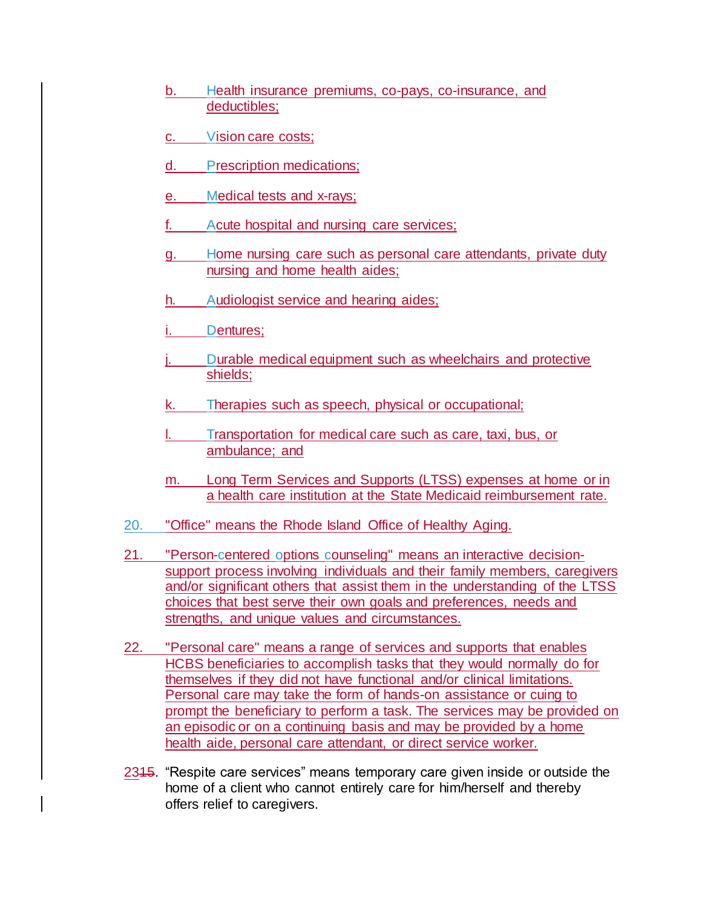- b. Health insurance premiums, co-pays, co-insurance, and deductibles;
- c. Vision care costs;
- d. Prescription medications;
- e. Medical tests and x-rays;
- f. Acute hospital and nursing care services;
- g. Home nursing care such as personal care attendants, private duty nursing and home health aides;
- h. Audiologist service and hearing aides;
- i. Dentures;
- j. Durable medical equipment such as wheelchairs and protective shields;
- k. Therapies such as speech, physical or occupational;
- l. Transportation for medical care such as care, taxi, bus, or ambulance; and
- m. Long Term Services and Supports (LTSS) expenses at home or in a health care institution at the State Medicaid reimbursement rate.
- 20. "Office" means the Rhode Island Office of Healthy Aging.
- 21. "Person-centered options counseling" means an interactive decisionsupport process involving individuals and their family members, caregivers and/or significant others that assist them in the understanding of the LTSS choices that best serve their own goals and preferences, needs and strengths, and unique values and circumstances.
- 22. "Personal care" means a range of services and supports that enables HCBS beneficiaries to accomplish tasks that they would normally do for themselves if they did not have functional and/or clinical limitations. Personal care may take the form of hands-on assistance or cuing to prompt the beneficiary to perform a task. The services may be provided on an episodic or on a continuing basis and may be provided by a home health aide, personal care attendant, or direct service worker.
- 2315. "Respite care services" means temporary care given inside or outside the home of a client who cannot entirely care for him/herself and thereby offers relief to caregivers.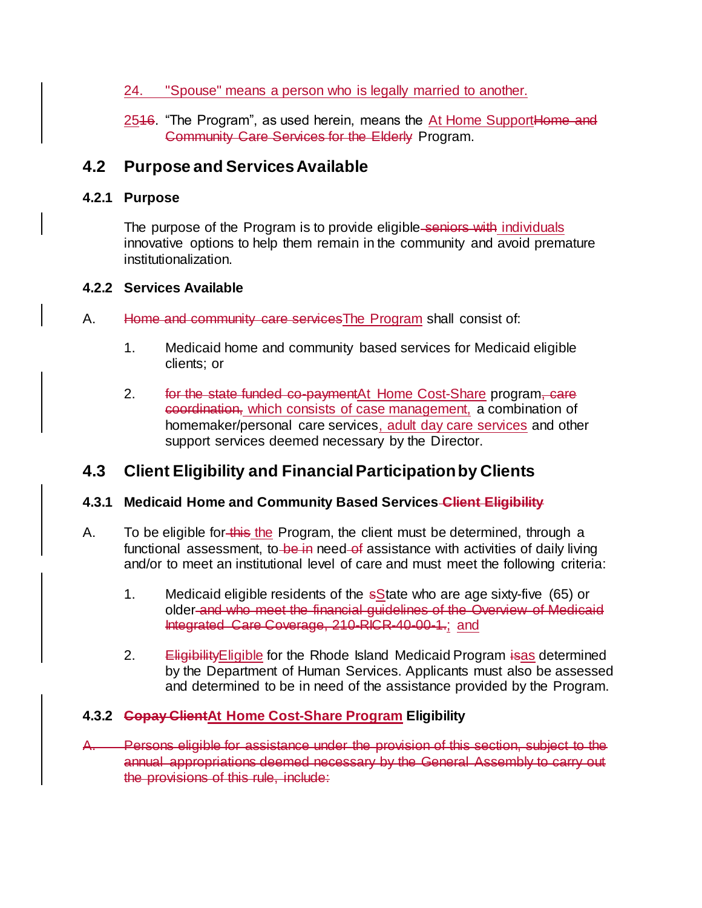### 24. "Spouse" means a person who is legally married to another.

2546. "The Program", as used herein, means the At Home SupportHome and Community Care Services for the Elderly Program.

# **4.2 Purpose and Services Available**

## **4.2.1 Purpose**

The purpose of the Program is to provide eligible-seniors with individuals innovative options to help them remain in the community and avoid premature institutionalization.

### **4.2.2 Services Available**

- A. Home and community care servicesThe Program shall consist of:
	- 1. Medicaid home and community based services for Medicaid eligible clients; or
	- 2. for the state funded co-paymentAt Home Cost-Share program, care coordination, which consists of case management, a combination of homemaker/personal care services, adult day care services and other support services deemed necessary by the Director.

# **4.3 Client Eligibility and Financial Participation by Clients**

# **4.3.1 Medicaid Home and Community Based Services Client Eligibility**

- A. To be eligible for this the Program, the client must be determined, through a functional assessment, to be in need of assistance with activities of daily living and/or to meet an institutional level of care and must meet the following criteria:
	- 1. Medicaid eligible residents of the  $s$ State who are age sixty-five (65) or older and who meet the financial guidelines of the Overview of Medicaid Integrated Care Coverage, 210-RICR-40-00-1.; and
	- 2. Eligibility Eligible for the Rhode Island Medicaid Program isas determined by the Department of Human Services. Applicants must also be assessed and determined to be in need of the assistance provided by the Program.

# **4.3.2 Copay ClientAt Home Cost-Share Program Eligibility**

A. Persons eligible for assistance under the provision of this section, subject to the annual appropriations deemed necessary by the General Assembly to carry out the provisions of this rule, include: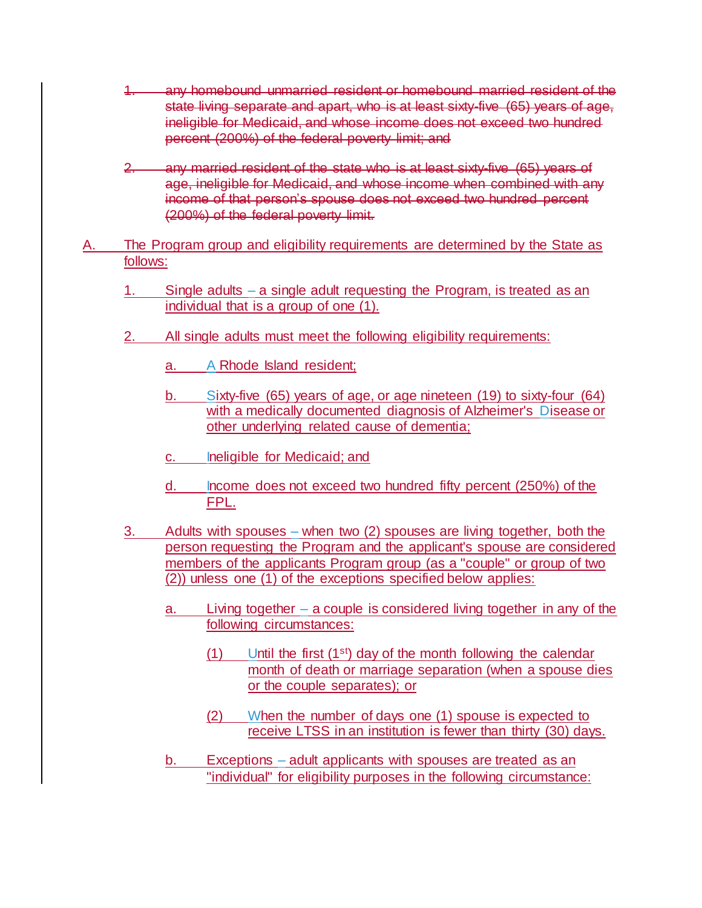- 1. any homebound unmarried resident or homebound married resident of the state living separate and apart, who is at least sixty-five (65) years of age, ineligible for Medicaid, and whose income does not exceed two hundred percent (200%) of the federal poverty limit; and
- 2. any married resident of the state who is at least sixty-five (65) years of age, ineligible for Medicaid, and whose income when combined with any income of that person's spouse does not exceed two hundred percent (200%) of the federal poverty limit.
- A. The Program group and eligibility requirements are determined by the State as follows:
	- 1. Single adults a single adult requesting the Program, is treated as an individual that is a group of one (1).
	- 2. All single adults must meet the following eligibility requirements:
		- a. A Rhode Island resident;
		- b. Sixty-five (65) years of age, or age nineteen (19) to sixty-four (64) with a medically documented diagnosis of Alzheimer's Disease or other underlying related cause of dementia;
		- c. Ineligible for Medicaid; and
		- d. Income does not exceed two hundred fifty percent (250%) of the FPL.
	- 3. Adults with spouses when two (2) spouses are living together, both the person requesting the Program and the applicant's spouse are considered members of the applicants Program group (as a "couple" or group of two (2)) unless one (1) of the exceptions specified below applies:
		- a. Living together a couple is considered living together in any of the following circumstances:
			- $(1)$  Until the first  $(1<sup>st</sup>)$  day of the month following the calendar month of death or marriage separation (when a spouse dies or the couple separates); or
			- (2) When the number of days one (1) spouse is expected to receive LTSS in an institution is fewer than thirty (30) days.
		- b. Exceptions adult applicants with spouses are treated as an "individual" for eligibility purposes in the following circumstance: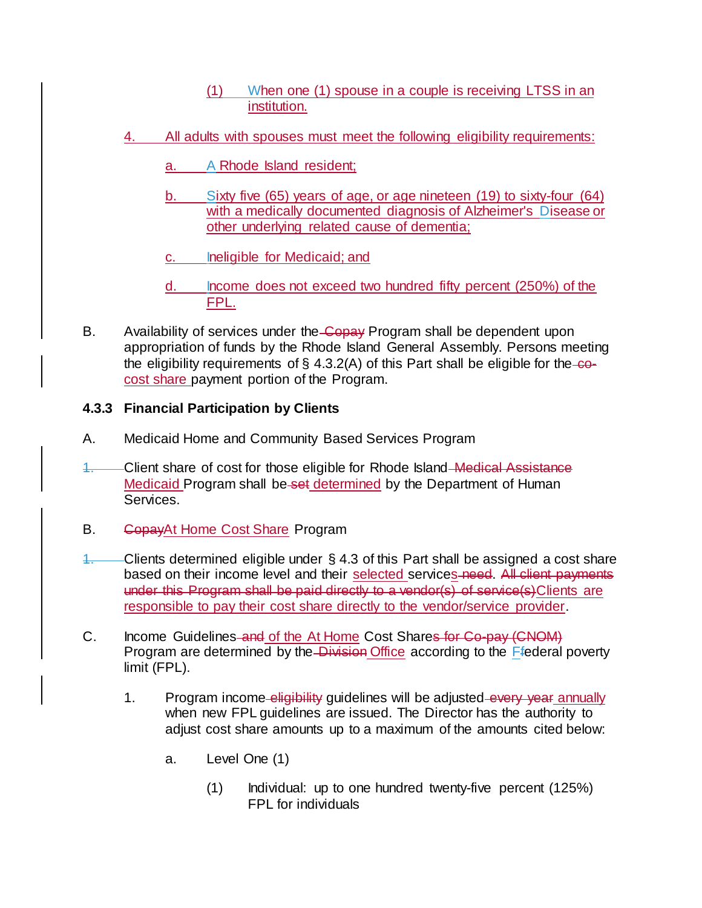- (1) When one (1) spouse in a couple is receiving LTSS in an institution.
- 4. All adults with spouses must meet the following eligibility requirements:
	- a. A Rhode Island resident;
	- b. Sixty five (65) years of age, or age nineteen (19) to sixty-four (64) with a medically documented diagnosis of Alzheimer's Disease or other underlying related cause of dementia;
	- c. Ineligible for Medicaid; and
	- d. Income does not exceed two hundred fifty percent (250%) of the FPL.
- B. Availability of services under the Copay Program shall be dependent upon appropriation of funds by the Rhode Island General Assembly. Persons meeting the eligibility requirements of  $\S$  4.3.2(A) of this Part shall be eligible for the-cocost share payment portion of the Program.

#### **4.3.3 Financial Participation by Clients**

- A. Medicaid Home and Community Based Services Program
- 1. Client share of cost for those eligible for Rhode Island Medical Assistance Medicaid Program shall be-set determined by the Department of Human Services.
- B. GopayAt Home Cost Share Program
- 1. Clients determined eligible under  $\S 4.3$  of this Part shall be assigned a cost share based on their income level and their selected services need. All client payments under this Program shall be paid directly to a vendor(s) of service(s)Clients are responsible to pay their cost share directly to the vendor/service provider.
- C. Income Guidelines and of the At Home Cost Shares for Co-pay (CNOM) Program are determined by the Division Office according to the Ffederal poverty limit (FPL).
	- 1. Program income eligibility quidelines will be adjusted every year annually when new FPL guidelines are issued. The Director has the authority to adjust cost share amounts up to a maximum of the amounts cited below:
		- a. Level One (1)
			- (1) Individual: up to one hundred twenty-five percent (125%) FPL for individuals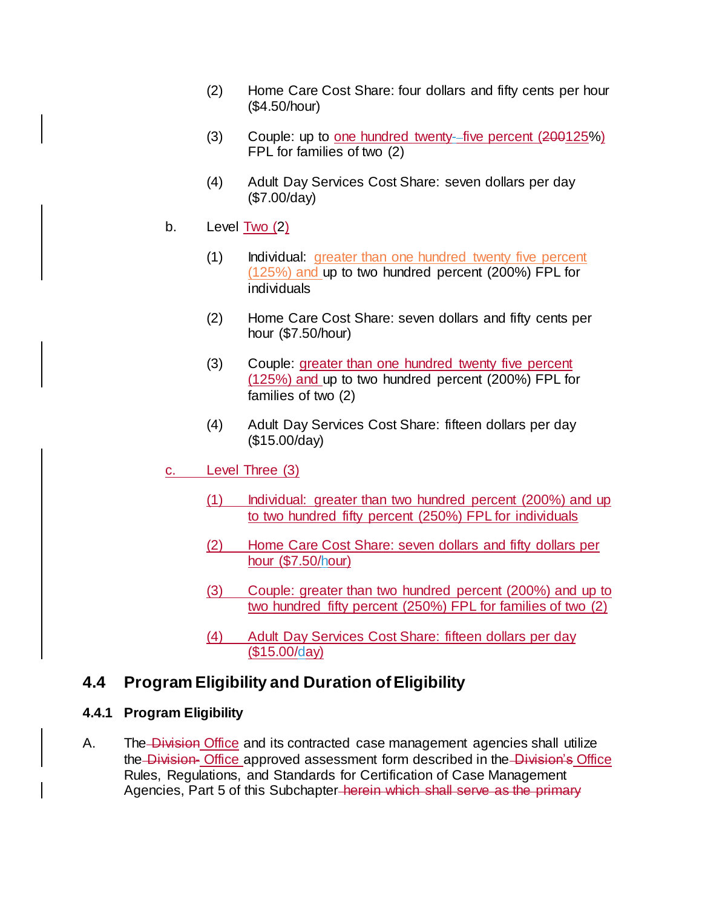- (2) Home Care Cost Share: four dollars and fifty cents per hour (\$4.50/hour)
- (3) Couple: up to one hundred twenty- five percent (200125%) FPL for families of two (2)
- (4) Adult Day Services Cost Share: seven dollars per day (\$7.00/day)
- b. Level Two (2)
	- (1) Individual: greater than one hundred twenty five percent (125%) and up to two hundred percent (200%) FPL for individuals
	- (2) Home Care Cost Share: seven dollars and fifty cents per hour (\$7.50/hour)
	- (3) Couple: greater than one hundred twenty five percent (125%) and up to two hundred percent (200%) FPL for families of two (2)
	- (4) Adult Day Services Cost Share: fifteen dollars per day (\$15.00/day)
- c. Level Three (3)
	- (1) Individual: greater than two hundred percent (200%) and up to two hundred fifty percent (250%) FPL for individuals
	- (2) Home Care Cost Share: seven dollars and fifty dollars per hour (\$7.50/hour)
	- (3) Couple: greater than two hundred percent (200%) and up to two hundred fifty percent (250%) FPL for families of two (2)
	- (4) Adult Day Services Cost Share: fifteen dollars per day (\$15.00/day)

# **4.4 Program Eligibility and Duration of Eligibility**

#### **4.4.1 Program Eligibility**

A. The Division Office and its contracted case management agencies shall utilize the Division- Office approved assessment form described in the Division's Office Rules, Regulations, and Standards for Certification of Case Management Agencies, Part 5 of this Subchapter-herein which shall serve as the primary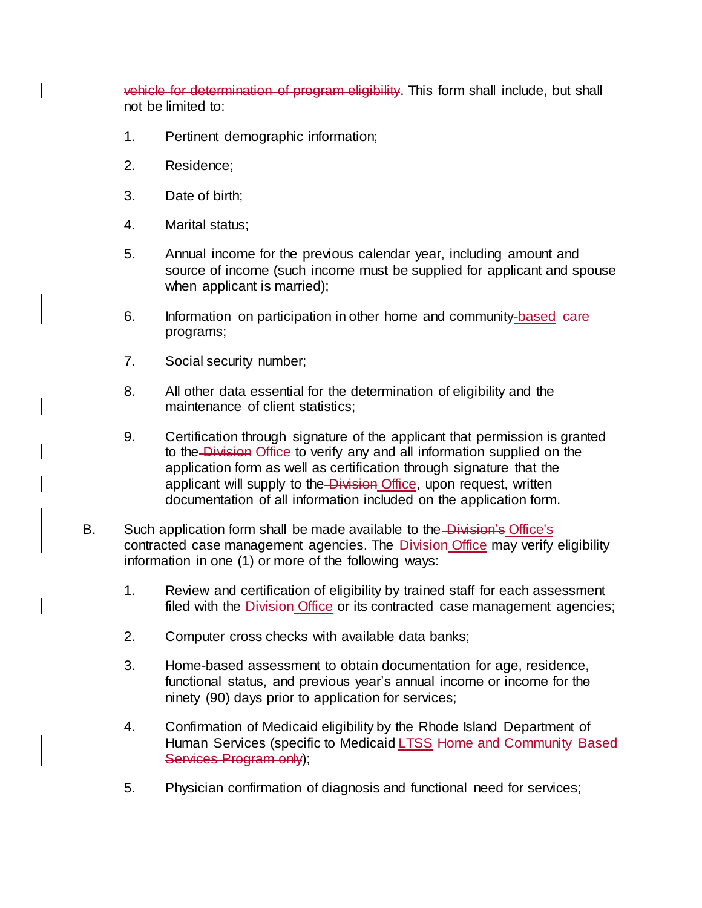vehicle for determination of program eligibility. This form shall include, but shall not be limited to:

- 1. Pertinent demographic information;
- 2. Residence;
- 3. Date of birth;
- 4. Marital status;
- 5. Annual income for the previous calendar year, including amount and source of income (such income must be supplied for applicant and spouse when applicant is married);
- 6. Information on participation in other home and community-based-care programs;
- 7. Social security number;
- 8. All other data essential for the determination of eligibility and the maintenance of client statistics;
- 9. Certification through signature of the applicant that permission is granted to the Division Office to verify any and all information supplied on the application form as well as certification through signature that the applicant will supply to the Division Office, upon request, written documentation of all information included on the application form.
- B. Such application form shall be made available to the Division's Office's contracted case management agencies. The Division Office may verify eligibility information in one (1) or more of the following ways:
	- 1. Review and certification of eligibility by trained staff for each assessment filed with the Division Office or its contracted case management agencies;
	- 2. Computer cross checks with available data banks;
	- 3. Home-based assessment to obtain documentation for age, residence, functional status, and previous year's annual income or income for the ninety (90) days prior to application for services;
	- 4. Confirmation of Medicaid eligibility by the Rhode Island Department of Human Services (specific to Medicaid LTSS Home and Community Based Services Program only);
	- 5. Physician confirmation of diagnosis and functional need for services;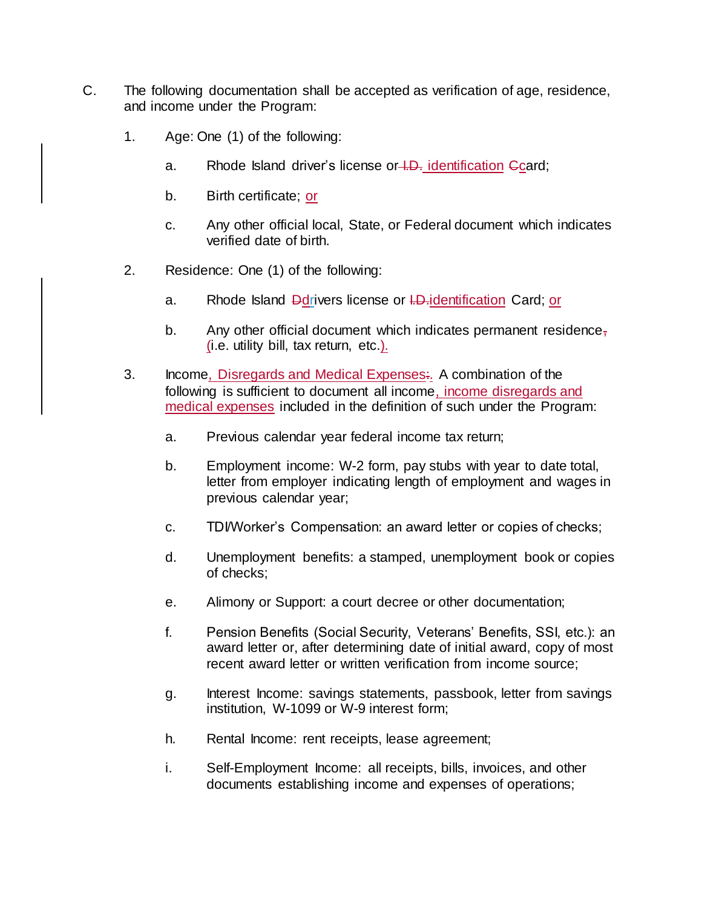- C. The following documentation shall be accepted as verification of age, residence, and income under the Program:
	- 1. Age: One (1) of the following:
		- a. Rhode Island driver's license or LD<sub>r</sub> identification Ccard;
		- b. Birth certificate; or
		- c. Any other official local, State, or Federal document which indicates verified date of birth.
	- 2. Residence: One (1) of the following:
		- a. Rhode Island Ddrivers license or I.D. identification Card; or
		- b. Any other official document which indicates permanent residence, (i.e. utility bill, tax return, etc.).
	- 3. Income, Disregards and Medical Expenses:. A combination of the following is sufficient to document all income, income disregards and medical expenses included in the definition of such under the Program:
		- a. Previous calendar year federal income tax return;
		- b. Employment income: W-2 form, pay stubs with year to date total, letter from employer indicating length of employment and wages in previous calendar year;
		- c. TDI/Worker's Compensation: an award letter or copies of checks;
		- d. Unemployment benefits: a stamped, unemployment book or copies of checks;
		- e. Alimony or Support: a court decree or other documentation;
		- f. Pension Benefits (Social Security, Veterans' Benefits, SSI, etc.): an award letter or, after determining date of initial award, copy of most recent award letter or written verification from income source;
		- g. Interest Income: savings statements, passbook, letter from savings institution, W-1099 or W-9 interest form;
		- h. Rental Income: rent receipts, lease agreement;
		- i. Self-Employment Income: all receipts, bills, invoices, and other documents establishing income and expenses of operations;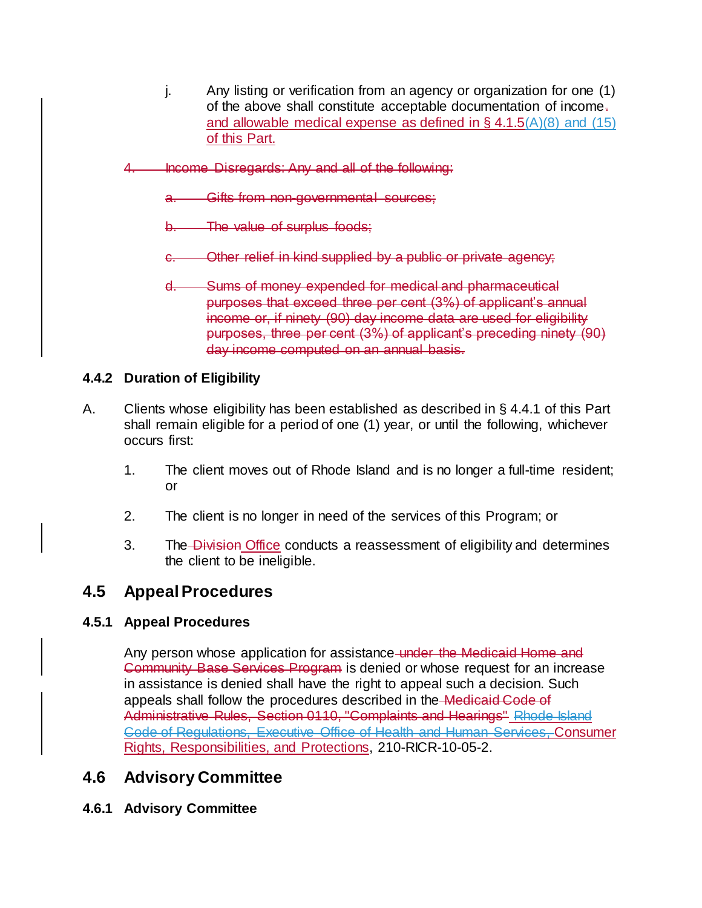- j. Any listing or verification from an agency or organization for one (1) of the above shall constitute acceptable documentation of income. and allowable medical expense as defined in  $\S$  4.1.5(A)(8) and (15) of this Part.
- 4. Income Disregards: Any and all of the following:
	- a. Gifts from non-governmental sources;
	- The value of surplus foods:
	- c. Other relief in kind supplied by a public or private agency;
	- d. Sums of money expended for medical and pharmaceutical purposes that exceed three per cent (3%) of applicant's annual income or, if ninety (90) day income data are used for eligibility purposes, three per cent (3%) of applicant's preceding ninety (90) day income computed on an annual basis.

### **4.4.2 Duration of Eligibility**

- A. Clients whose eligibility has been established as described in § 4.4.1 of this Part shall remain eligible for a period of one (1) year, or until the following, whichever occurs first:
	- 1. The client moves out of Rhode Island and is no longer a full-time resident; or
	- 2. The client is no longer in need of the services of this Program; or
	- 3. The Division Office conducts a reassessment of eligibility and determines the client to be ineligible.

# **4.5 Appeal Procedures**

#### **4.5.1 [Appeal Procedures](https://rules.sos.ri.gov/regulations/part/210-10-05-2)**

Any person whose application for assistance under the Medicaid Home and Community Base Services Program is denied or whose request for an increase in assistance is denied shall have the right to appeal such a decision. Such appeals shall follow the procedures described in the Medicaid Code of Administrative Rules, Section 0110, "Complaints and Hearings" Rhode Island Code of Regulations, Executive Office of Health and Human Services, Consumer Rights, Responsibilities, and Protections, 210-RICR-10-05-2.

# **4.6 Advisory Committee**

**4.6.1 Advisory Committee**